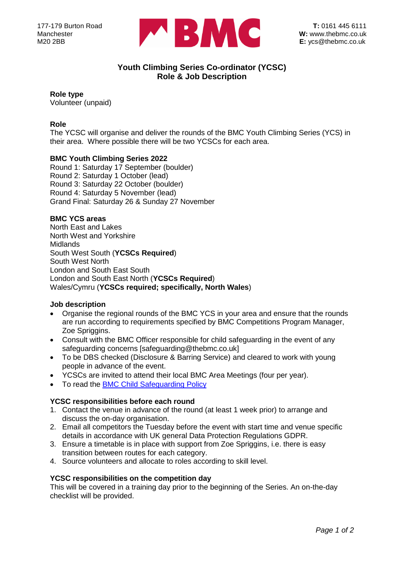

# **Youth Climbing Series Co-ordinator (YCSC) Role & Job Description**

## **Role type**

Volunteer (unpaid)

# **Role**

The YCSC will organise and deliver the rounds of the BMC Youth Climbing Series (YCS) in their area. Where possible there will be two YCSCs for each area.

# **BMC Youth Climbing Series 2022**

Round 1: Saturday 17 September (boulder) Round 2: Saturday 1 October (lead) Round 3: Saturday 22 October (boulder) Round 4: Saturday 5 November (lead) Grand Final: Saturday 26 & Sunday 27 November

## **BMC YCS areas**

North East and Lakes North West and Yorkshire Midlands South West South (**YCSCs Required**) South West North London and South East South London and South East North (**YCSCs Required**) Wales/Cymru (**YCSCs required; specifically, North Wales**)

## **Job description**

- Organise the regional rounds of the BMC YCS in your area and ensure that the rounds are run according to requirements specified by BMC Competitions Program Manager, Zoe Spriggins.
- Consult with the BMC Officer responsible for child safeguarding in the event of any safeguarding concerns [safeguarding@thebmc.co.uk]
- To be DBS checked (Disclosure & Barring Service) and cleared to work with young people in advance of the event.
- YCSCs are invited to attend their local BMC Area Meetings (four per year).
- To read the [BMC Child Safeguarding Policy](https://www.thebmc.co.uk/bmc-updates-child-protection-policy)

## **YCSC responsibilities before each round**

- 1. Contact the venue in advance of the round (at least 1 week prior) to arrange and discuss the on-day organisation.
- 2. Email all competitors the Tuesday before the event with start time and venue specific details in accordance with UK general Data Protection Regulations GDPR.
- 3. Ensure a timetable is in place with support from Zoe Spriggins, i.e. there is easy transition between routes for each category.
- 4. Source volunteers and allocate to roles according to skill level.

## **YCSC responsibilities on the competition day**

This will be covered in a training day prior to the beginning of the Series. An on-the-day checklist will be provided.